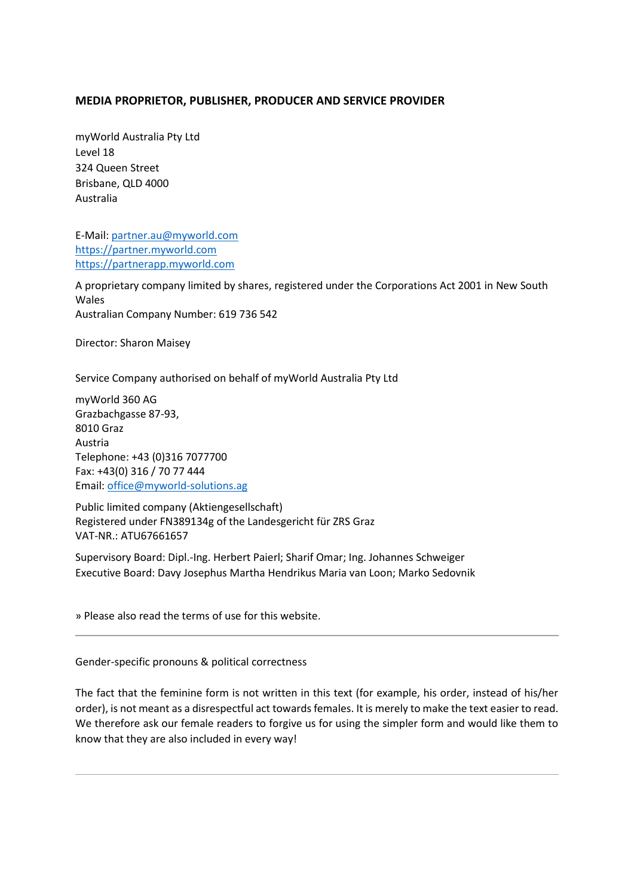## **MEDIA PROPRIETOR, PUBLISHER, PRODUCER AND SERVICE PROVIDER**

myWorld Australia Pty Ltd Level 18 324 Queen Street Brisbane, QLD 4000 Australia

E-Mail[: partner.au@myworld.com](mailto:partner.au@myworld.com) https://partner.myworld.com [https://partnerapp.myworld.com](https://partnerapp.myworld.com/)

A proprietary company limited by shares, registered under the Corporations Act 2001 in New South Wales Australian Company Number: 619 736 542

Director: Sharon Maisey

Service Company authorised on behalf of myWorld Australia Pty Ltd

myWorld 360 AG Grazbachgasse 87-93, 8010 Graz Austria Telephone: +43 (0)316 7077700 Fax: +43(0) 316 / 70 77 444 Email: [office@myworld-solutions.ag](mailto:office@myworld-solutions.ag)

Public limited company (Aktiengesellschaft) Registered under FN389134g of the Landesgericht für ZRS Graz VAT-NR.: ATU67661657

Supervisory Board: Dipl.-Ing. Herbert Paierl; Sharif Omar; Ing. Johannes Schweiger Executive Board: Davy Josephus Martha Hendrikus Maria van Loon; Marko Sedovnik

» Please also read the terms of use for this website.

Gender-specific pronouns & political correctness

The fact that the feminine form is not written in this text (for example, his order, instead of his/her order), is not meant as a disrespectful act towards females. It is merely to make the text easier to read. We therefore ask our female readers to forgive us for using the simpler form and would like them to know that they are also included in every way!